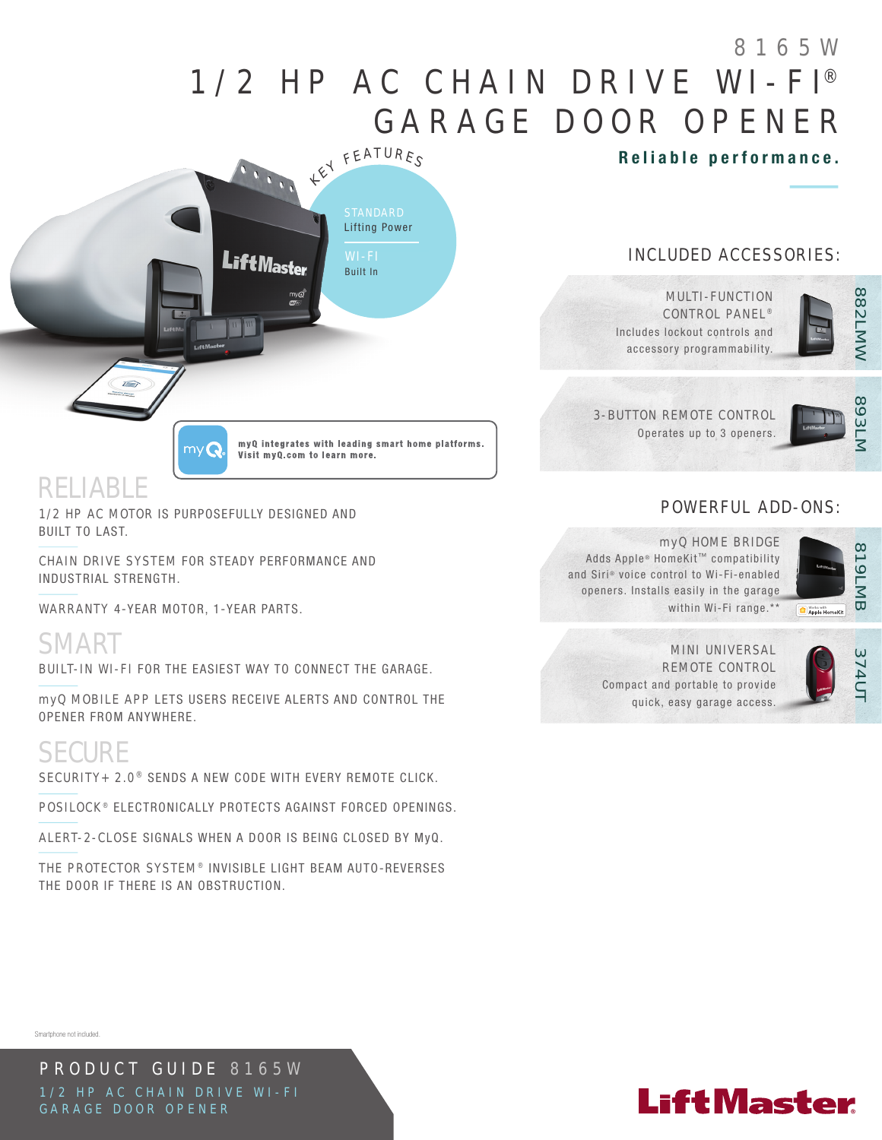## 1/2 HP AC CHAIN DRIVE WI-FI® GARAGE DOOR OPENER 8165W



### INCLUDED ACCESSORIES:

Reliable performance.



MULTI-FUNCTION **CONTROL PANEL<sup>®</sup>** Includes lockout controls and accessory programmability.

3-BUTTON REMOTE CONTROL Operates up to 3 openers.

Adds Apple® HomeKit™ compatibility and Siri® voice control to Wi-Fi-enabled openers. Installs easily in the garage



myQ integrates with leading smart home platforms. Visit myQ.com to learn more.

## RELIABLE

1/2 HP AC MOTOR IS PURPOSEFULLY DESIGNED AND BUILT TO LAST.

CHAIN DRIVE SYSTEM FOR STEADY PERFORMANCE AND INDUSTRIAL STRENGTH.

WARRANTY 4-YEAR MOTOR, 1-YEAR PARTS.

## SMART

BUILT-IN WI-FI FOR THE EASIEST WAY TO CONNECT THE GARAGE.

myQ MOBILE APP LETS USERS RECEIVE ALERTS AND CONTROL THE OPENER FROM ANYWHERE.

## **SECURE**

SECURITY+ 2.0<sup>®</sup> SENDS A NEW CODE WITH EVERY REMOTE CLICK.

POSILOCK<sup>®</sup> ELECTRONICALLY PROTECTS AGAINST FORCED OPENINGS.

ALERT-2-CLOSE SIGNALS WHEN A DOOR IS BEING CLOSED BY MyQ.

THE PROTECTOR SYSTEM<sup>®</sup> INVISIBLE LIGHT BEAM AUTO-REVERSES THE DOOR IF THERE IS AN OBSTRUCTION.

### POWERFUL ADD-ONS:

myQ HOME BRIDGE

within Wi-Fi range.\*\*



MINI UNIVERSAL REMOTE CONTROL Compact and portable to provide



# quick, easy garage access.

## Smartphone not included.

PRODUCT GUIDE 8165W 1/2 HP AC CHAIN DRIVE WI-FI GARAGE DOOR OPENER

## **LiftMaster**